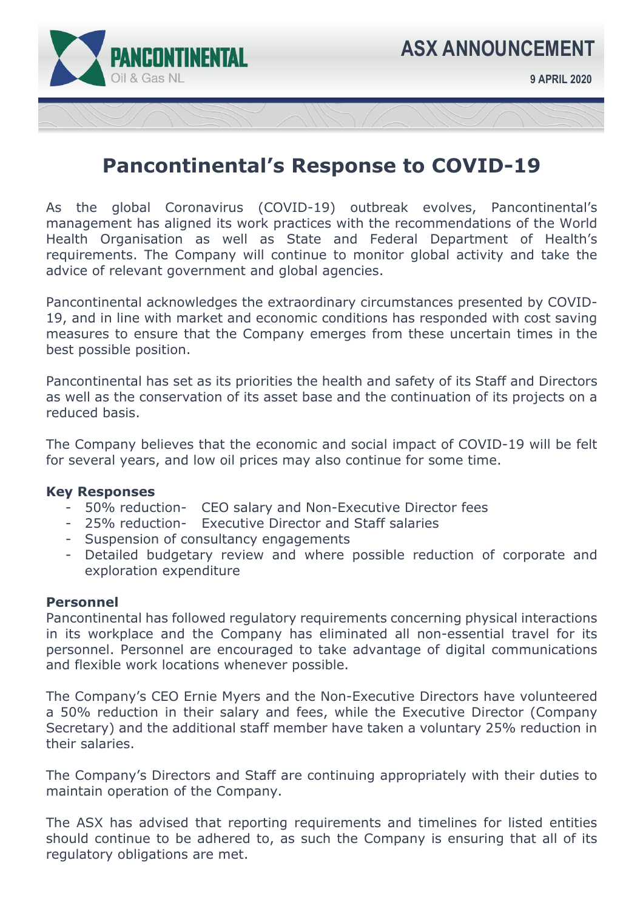

# **Pancontinental's Response to COVID-19**

As the global Coronavirus (COVID-19) outbreak evolves, Pancontinental's management has aligned its work practices with the recommendations of the World Health Organisation as well as State and Federal Department of Health's requirements. The Company will continue to monitor global activity and take the advice of relevant government and global agencies.

Pancontinental acknowledges the extraordinary circumstances presented by COVID-19, and in line with market and economic conditions has responded with cost saving measures to ensure that the Company emerges from these uncertain times in the best possible position.

Pancontinental has set as its priorities the health and safety of its Staff and Directors as well as the conservation of its asset base and the continuation of its projects on a reduced basis.

The Company believes that the economic and social impact of COVID-19 will be felt for several years, and low oil prices may also continue for some time.

## **Key Responses**

- 50% reduction- CEO salary and Non-Executive Director fees
- 25% reduction- Executive Director and Staff salaries
- Suspension of consultancy engagements
- Detailed budgetary review and where possible reduction of corporate and exploration expenditure

# **Personnel**

Pancontinental has followed regulatory requirements concerning physical interactions in its workplace and the Company has eliminated all non-essential travel for its personnel. Personnel are encouraged to take advantage of digital communications and flexible work locations whenever possible.

The Company's CEO Ernie Myers and the Non-Executive Directors have volunteered a 50% reduction in their salary and fees, while the Executive Director (Company Secretary) and the additional staff member have taken a voluntary 25% reduction in their salaries.

The Company's Directors and Staff are continuing appropriately with their duties to maintain operation of the Company.

The ASX has advised that reporting requirements and timelines for listed entities should continue to be adhered to, as such the Company is ensuring that all of its regulatory obligations are met.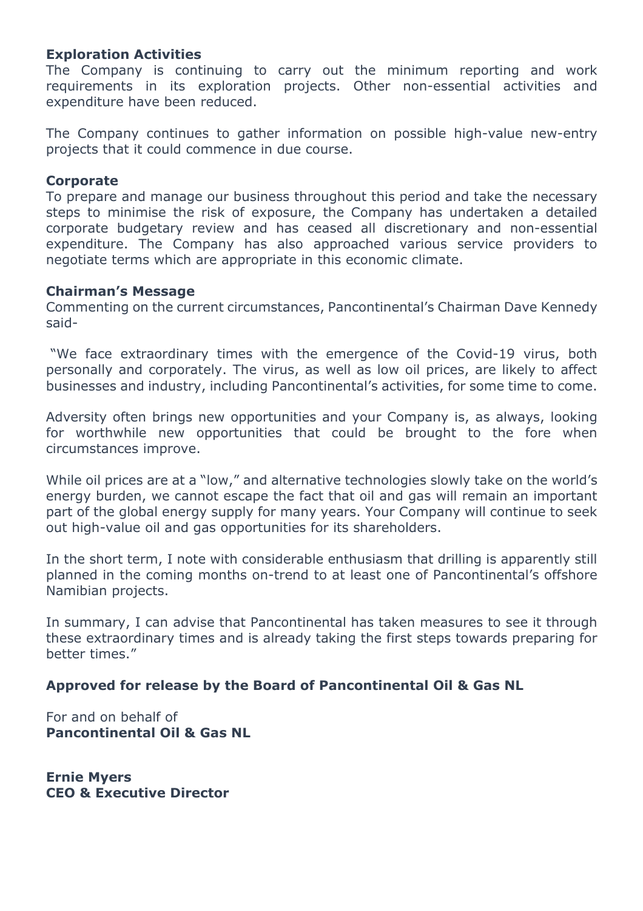# **Exploration Activities**

The Company is continuing to carry out the minimum reporting and work requirements in its exploration projects. Other non-essential activities and expenditure have been reduced.

The Company continues to gather information on possible high-value new-entry projects that it could commence in due course.

## **Corporate**

To prepare and manage our business throughout this period and take the necessary steps to minimise the risk of exposure, the Company has undertaken a detailed corporate budgetary review and has ceased all discretionary and non-essential expenditure. The Company has also approached various service providers to negotiate terms which are appropriate in this economic climate.

## **Chairman's Message**

Commenting on the current circumstances, Pancontinental's Chairman Dave Kennedy said-

 "We face extraordinary times with the emergence of the Covid-19 virus, both personally and corporately. The virus, as well as low oil prices, are likely to affect businesses and industry, including Pancontinental's activities, for some time to come.

Adversity often brings new opportunities and your Company is, as always, looking for worthwhile new opportunities that could be brought to the fore when circumstances improve.

While oil prices are at a "low," and alternative technologies slowly take on the world's energy burden, we cannot escape the fact that oil and gas will remain an important part of the global energy supply for many years. Your Company will continue to seek out high-value oil and gas opportunities for its shareholders.

In the short term, I note with considerable enthusiasm that drilling is apparently still planned in the coming months on-trend to at least one of Pancontinental's offshore Namibian projects.

In summary, I can advise that Pancontinental has taken measures to see it through these extraordinary times and is already taking the first steps towards preparing for better times."

# **Approved for release by the Board of Pancontinental Oil & Gas NL**

For and on behalf of **Pancontinental Oil & Gas NL** 

**Ernie Myers CEO & Executive Director**